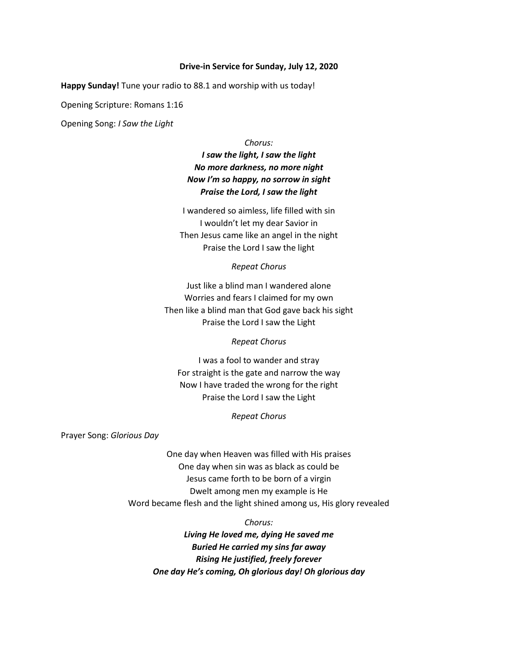#### **Drive-in Service for Sunday, July 12, 2020**

**Happy Sunday!** Tune your radio to 88.1 and worship with us today!

Opening Scripture: Romans 1:16

Opening Song: *I Saw the Light*

*Chorus:*

*I saw the light, I saw the light No more darkness, no more night Now I'm so happy, no sorrow in sight Praise the Lord, I saw the light*

I wandered so aimless, life filled with sin I wouldn't let my dear Savior in Then Jesus came like an angel in the night Praise the Lord I saw the light

*Repeat Chorus*

Just like a blind man I wandered alone Worries and fears I claimed for my own Then like a blind man that God gave back his sight Praise the Lord I saw the Light

#### *Repeat Chorus*

I was a fool to wander and stray For straight is the gate and narrow the way Now I have traded the wrong for the right Praise the Lord I saw the Light

#### *Repeat Chorus*

Prayer Song: *Glorious Day*

One day when Heaven was filled with His praises One day when sin was as black as could be Jesus came forth to be born of a virgin Dwelt among men my example is He Word became flesh and the light shined among us, His glory revealed

*Chorus:*

*Living He loved me, dying He saved me Buried He carried my sins far away Rising He justified, freely forever One day He's coming, Oh glorious day! Oh glorious day*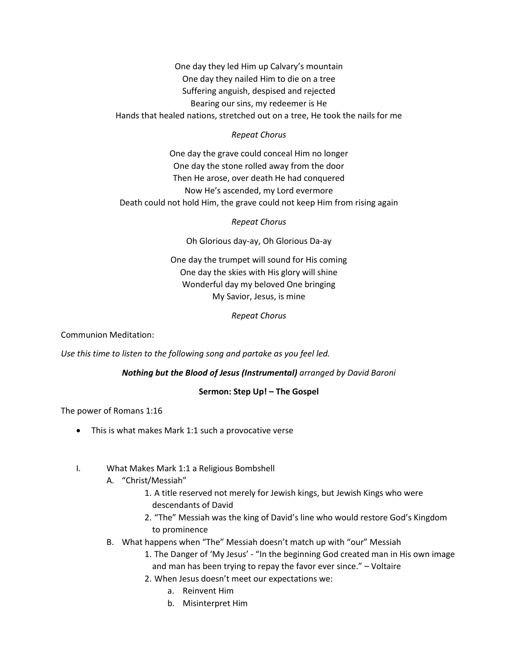One day they led Him up Calvary's mountain One day they nailed Him to die on a tree Suffering anguish, despised and rejected Bearing our sins, my redeemer is He Hands that healed nations, stretched out on a tree, He took the nails for me

# *Repeat Chorus*

One day the grave could conceal Him no longer One day the stone rolled away from the door Then He arose, over death He had conquered Now He's ascended, my Lord evermore Death could not hold Him, the grave could not keep Him from rising again

# *Repeat Chorus*

Oh Glorious day-ay, Oh Glorious Da-ay

One day the trumpet will sound for His coming One day the skies with His glory will shine Wonderful day my beloved One bringing My Savior, Jesus, is mine

# *Repeat Chorus*

Communion Meditation:

*Use this time to listen to the following song and partake as you feel led.*

## *Nothing but the Blood of Jesus (Instrumental) arranged by David Baroni*

## **Sermon: Step Up! – The Gospel**

## The power of Romans 1:16

- This is what makes Mark 1:1 such a provocative verse
- I. What Makes Mark 1:1 a Religious Bombshell
	- A. "Christ/Messiah"
		- 1. A title reserved not merely for Jewish kings, but Jewish Kings who were descendants of David
		- 2. "The" Messiah was the king of David's line who would restore God's Kingdom to prominence
	- B. What happens when "The" Messiah doesn't match up with "our" Messiah
		- 1. The Danger of 'My Jesus' "In the beginning God created man in His own image and man has been trying to repay the favor ever since." – Voltaire
		- 2. When Jesus doesn't meet our expectations we:
			- a. Reinvent Him
			- b. Misinterpret Him